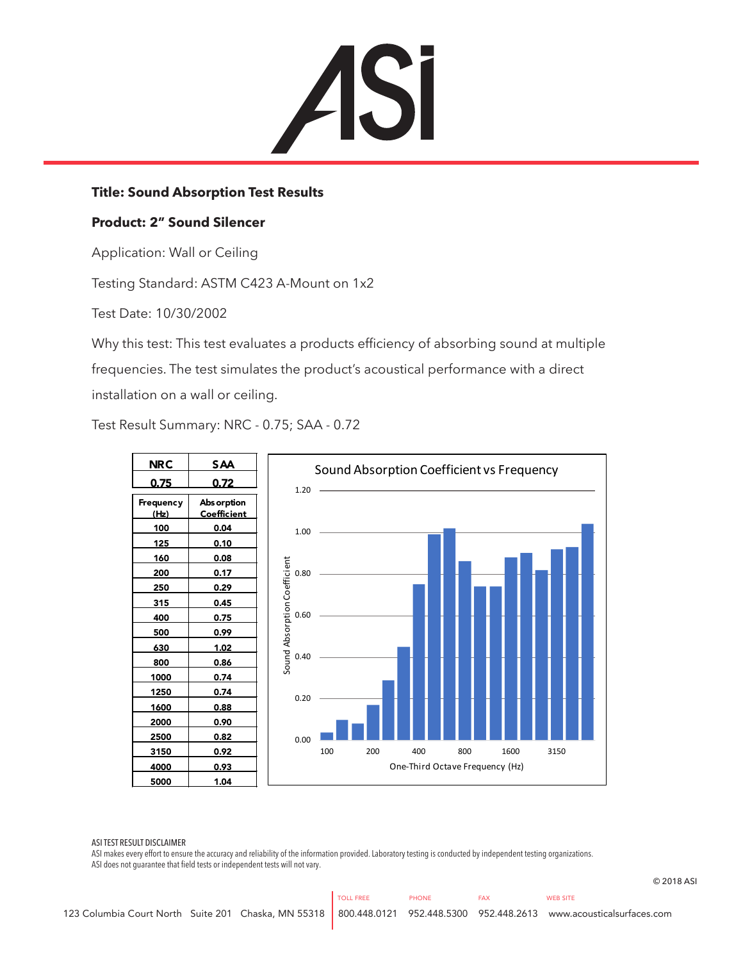

## **Title: Sound Absorption Test Results**

## **Product: 2" Sound Silencer**

Application: Wall or Ceiling

Testing Standard: ASTM C423 A-Mount on 1x2

Test Date: 10/30/2002

Why this test: This test evaluates a products efficiency of absorbing sound at multiple frequencies. The test simulates the product's acoustical performance with a direct installation on a wall or ceiling.

Test Result Summary: NRC - 0.75; SAA - 0.72



ASI TEST RESULT DISCLAIMER

ASI makes every effort to ensure the accuracy and reliability of the information provided. Laboratory testing is conducted by independent testing organizations. ASI does not guarantee that field tests or independent tests will not vary.

© 2018 ASI